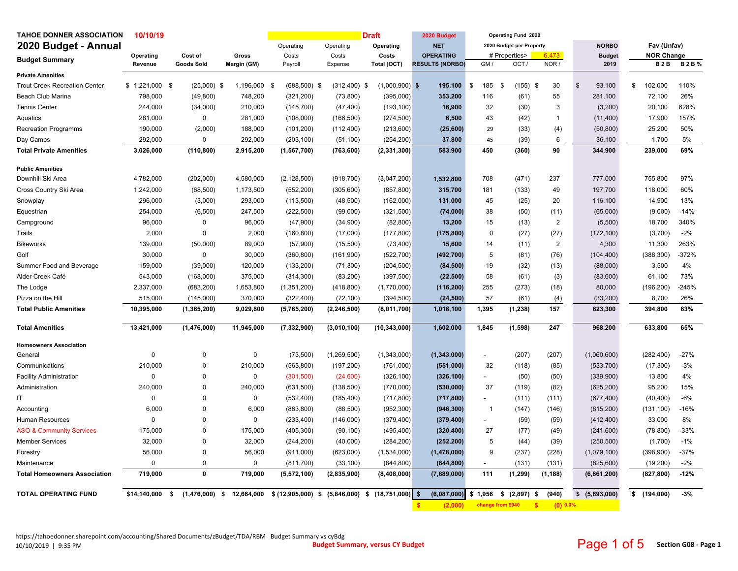| 2020 Budget - Annual<br>2020 Budget per Property<br><b>NORBO</b><br>Fav (Unfav)<br>Operating<br>Operating<br>Operating<br><b>NET</b><br><b>NOR Change</b><br>Operating<br>Cost of<br>Gross<br>Costs<br>Costs<br>Costs<br><b>OPERATING</b><br># Properties><br><b>Budget</b><br>6.473<br><b>Budget Summary</b><br>NOR /<br><b>B2B%</b><br>Goods Sold<br>Margin (GM)<br>Total (OCT)<br><b>RESULTS (NORBO)</b><br>GM /<br>OCT/<br>2019<br><b>B2B</b><br>Revenue<br>Payroll<br>Expense<br><b>Private Amenities</b><br><b>Trout Creek Recreation Center</b><br>$$1,221,000$ \$<br>$(25,000)$ \$<br>1,196,000<br>$(1,000,900)$ \$<br>195,100<br>\$<br>185<br>$(155)$ \$<br>30<br>$\mathbf{s}$<br>93,100<br>\$<br>102,000<br>110%<br>- \$<br>$(688,500)$ \$<br>$(312, 400)$ \$<br>-\$<br>55<br>72,100<br>26%<br><b>Beach Club Marina</b><br>798,000<br>748,200<br>(321, 200)<br>353,200<br>116<br>(61)<br>281,100<br>(49, 800)<br>(73, 800)<br>(395,000)<br><b>Tennis Center</b><br>244,000<br>(34,000)<br>210,000<br>(145, 700)<br>(47, 400)<br>(193, 100)<br>16,900<br>32<br>(30)<br>3<br>(3,200)<br>20,100<br>628%<br>$\mathbf 0$<br>6,500<br>43<br>17,900<br>157%<br>Aquatics<br>281,000<br>281,000<br>(108,000)<br>(166, 500)<br>(274, 500)<br>(42)<br>$\mathbf{1}$<br>(11,400)<br><b>Recreation Programms</b><br>190,000<br>(2,000)<br>188,000<br>(101, 200)<br>(213,600)<br>(25,600)<br>29<br>(33)<br>(4)<br>(50, 800)<br>25,200<br>50%<br>(112, 400)<br>0<br>6<br>Day Camps<br>292,000<br>292,000<br>(254, 200)<br>37,800<br>45<br>(39)<br>36,100<br>1,700<br>5%<br>(203, 100)<br>(51, 100)<br>(360)<br>90<br>239,000<br>69%<br>3,026,000<br>(110, 800)<br>2,915,200<br>583,900<br>450<br>344,900<br><b>Total Private Amenities</b><br>(1,567,700)<br>(763, 600)<br>(2, 331, 300)<br><b>Public Amenities</b><br>Downhill Ski Area<br>4,580,000<br>1,532,800<br>708<br>(471)<br>237<br>777,000<br>755,800<br>97%<br>4,782,000<br>(202,000)<br>(2, 128, 500)<br>(918, 700)<br>(3,047,200)<br>1,242,000<br>315,700<br>49<br>60%<br>Cross Country Ski Area<br>(68, 500)<br>1,173,500<br>(552, 200)<br>(305, 600)<br>(857, 800)<br>181<br>(133)<br>197,700<br>118,000<br>296,000<br>(3,000)<br>293,000<br>(113,500)<br>(48, 500)<br>(162,000)<br>131,000<br>45<br>(25)<br>20<br>116,100<br>14,900<br>13%<br>Snowplay<br>254,000<br>247,500<br>38<br>(9,000)<br>$-14%$<br>Equestrian<br>(6,500)<br>(222, 500)<br>(99,000)<br>(321, 500)<br>(74,000)<br>(50)<br>(11)<br>(65,000)<br>$\overline{\mathbf{c}}$<br>96,000<br>0<br>96,000<br>(47,900)<br>(82, 800)<br>15<br>(5,500)<br>18,700<br>340%<br>Campground<br>(34,900)<br>13,200<br>(13)<br>2,000<br>0<br>2,000<br>(177, 800)<br>$\mathbf 0$<br>(27)<br>(27)<br>(3,700)<br>$-2%$<br>Trails<br>(160, 800)<br>(17,000)<br>(175, 800)<br>(172, 100)<br>$\overline{2}$<br>263%<br>139,000<br>(50,000)<br>89,000<br>(57,900)<br>(15,500)<br>(73, 400)<br>15,600<br>14<br>(11)<br>4,300<br>11,300<br><b>Bikeworks</b><br>Golf<br>30,000<br>$\mathbf 0$<br>30,000<br>(360, 800)<br>(522, 700)<br>5<br>(76)<br>(104, 400)<br>(388, 300)<br>$-372%$<br>(161,900)<br>(492, 700)<br>(81)<br>(39,000)<br>3,500<br>4%<br>Summer Food and Beverage<br>159,000<br>120,000<br>(133, 200)<br>(71, 300)<br>(204, 500)<br>(84, 500)<br>19<br>(32)<br>(13)<br>(88,000)<br>543,000<br>73%<br>Alder Creek Café<br>(168,000)<br>375,000<br>(314, 300)<br>(83, 200)<br>(397, 500)<br>58<br>(61)<br>(3)<br>(83,600)<br>61,100<br>(22, 500)<br>255<br>(273)<br>80,000<br>(196, 200)<br>$-245%$<br>2,337,000<br>(683, 200)<br>1,653,800<br>(1, 351, 200)<br>(418, 800)<br>(1,770,000)<br>(18)<br>The Lodge<br>(116, 200)<br>57<br>8,700<br>26%<br>Pizza on the Hill<br>515,000<br>(145,000)<br>370,000<br>(322, 400)<br>(72, 100)<br>(394, 500)<br>(24, 500)<br>(61)<br>(33, 200)<br>(4)<br>1,395<br><b>Total Public Amenities</b><br>10,395,000<br>(1, 365, 200)<br>9,029,800<br>(5,765,200)<br>(2, 246, 500)<br>(8,011,700)<br>1,018,100<br>(1, 238)<br>157<br>623,300<br>394,800<br>63%<br>$\overline{247}$<br>13,421,000<br>(1,476,000)<br>1.845<br>(1, 598)<br>633,800<br>65%<br>11,945,000<br>(7, 332, 900)<br>(3,010,100)<br>(10, 343, 000)<br>1,602,000<br>968,200<br><b>Total Amenities</b><br><b>Homeowners Association</b><br>$\mathbf 0$<br>0<br>(207)<br>(282, 400)<br>$-27%$<br>General<br>0<br>(73, 500)<br>(1,269,500)<br>(1,343,000)<br>(1,343,000)<br>(207)<br>(1,060,600)<br>$\overline{\phantom{a}}$<br>210,000<br>0<br>210,000<br>32<br>$-3%$<br>(563, 800)<br>(197, 200)<br>(761,000)<br>(551,000)<br>(118)<br>(85)<br>(533,700)<br>(17, 300)<br>Communications<br>$\mathbf 0$<br>0<br>13,800<br>4%<br><b>Facility Administration</b><br>$\Omega$<br>(301, 500)<br>(24,600)<br>(326, 100)<br>(50)<br>(50)<br>(339,900)<br>(326, 100)<br>$\sim$<br>240,000<br>240,000<br>Administration<br>$\mathbf 0$<br>(631, 500)<br>(770,000)<br>(530,000)<br>37<br>(119)<br>(82)<br>(625, 200)<br>95,200<br>15%<br>(138, 500)<br>$\mathbf 0$<br>0<br>0<br>(717, 800)<br>(677, 400)<br>(40, 400)<br>$-6%$<br>ΙT<br>(532, 400)<br>(185, 400)<br>(717, 800)<br>(111)<br>(111)<br>$\sim$<br>6,000<br>6,000<br>Accounting<br>0<br>(863, 800)<br>(88, 500)<br>(952, 300)<br>(946, 300)<br>$\overline{1}$<br>(147)<br>(146)<br>(815, 200)<br>(131, 100)<br>$-16%$<br>0<br>33,000<br>8%<br>Human Resources<br>0<br>0<br>(233, 400)<br>(146,000)<br>(379, 400)<br>(59)<br>(59)<br>(412, 400)<br>(379, 400)<br>175,000<br>$\overline{0}$<br>175,000<br>(78, 800)<br>$-33%$<br><b>ASO &amp; Community Services</b><br>(405, 300)<br>(90, 100)<br>(495, 400)<br>27<br>(77)<br>(49)<br>(241,600)<br>(320, 400)<br>32,000<br>0<br>32,000<br>(40,000)<br>5<br>(44)<br>(1,700)<br>$-1%$<br><b>Member Services</b><br>(244, 200)<br>(284, 200)<br>(252, 200)<br>(39)<br>(250, 500)<br>56,000<br>0<br>56,000<br>9<br>(237)<br>(228)<br>(398, 900)<br>$-37%$<br>(911,000)<br>(623,000)<br>(1,534,000)<br>(1,478,000)<br>(1,079,100)<br>Forestry<br>$\Omega$<br>0<br>$-2%$<br>Maintenance<br>$\Omega$<br>(811,700)<br>(33, 100)<br>(844, 800)<br>(844, 800)<br>(131)<br>(131)<br>(825, 600)<br>(19, 200)<br>$\mathbf 0$<br>719,000<br>111<br>(1, 299)<br>(1, 188)<br>$-12%$<br><b>Total Homeowners Association</b><br>719,000<br>(5,572,100)<br>(2,835,900)<br>(8,408,000)<br>(7,689,000)<br>(6,861,200)<br>(827, 800)<br><b>TOTAL OPERATING FUND</b><br>$(1,476,000)$ \$<br>12,664,000<br>\$ (12,905,000) \$ (5,846,000) \$<br>$(18,751,000)$ \$<br>(6,087,000)<br>\$1,956<br>$$(2,897)$ \$<br>(940)<br>\$ (5,893,000)<br>\$(194,000)<br>$-3%$<br>\$14,140,000<br>\$<br>change from \$940<br>(0) 0.0%<br>(2.000)<br>$\mathbf{s}$ | <b>TAHOE DONNER ASSOCIATION</b> | 10/10/19 |  |  | <b>Draft</b> | 2020 Budget | Operating Fund 2020 |  |  |  |
|--------------------------------------------------------------------------------------------------------------------------------------------------------------------------------------------------------------------------------------------------------------------------------------------------------------------------------------------------------------------------------------------------------------------------------------------------------------------------------------------------------------------------------------------------------------------------------------------------------------------------------------------------------------------------------------------------------------------------------------------------------------------------------------------------------------------------------------------------------------------------------------------------------------------------------------------------------------------------------------------------------------------------------------------------------------------------------------------------------------------------------------------------------------------------------------------------------------------------------------------------------------------------------------------------------------------------------------------------------------------------------------------------------------------------------------------------------------------------------------------------------------------------------------------------------------------------------------------------------------------------------------------------------------------------------------------------------------------------------------------------------------------------------------------------------------------------------------------------------------------------------------------------------------------------------------------------------------------------------------------------------------------------------------------------------------------------------------------------------------------------------------------------------------------------------------------------------------------------------------------------------------------------------------------------------------------------------------------------------------------------------------------------------------------------------------------------------------------------------------------------------------------------------------------------------------------------------------------------------------------------------------------------------------------------------------------------------------------------------------------------------------------------------------------------------------------------------------------------------------------------------------------------------------------------------------------------------------------------------------------------------------------------------------------------------------------------------------------------------------------------------------------------------------------------------------------------------------------------------------------------------------------------------------------------------------------------------------------------------------------------------------------------------------------------------------------------------------------------------------------------------------------------------------------------------------------------------------------------------------------------------------------------------------------------------------------------------------------------------------------------------------------------------------------------------------------------------------------------------------------------------------------------------------------------------------------------------------------------------------------------------------------------------------------------------------------------------------------------------------------------------------------------------------------------------------------------------------------------------------------------------------------------------------------------------------------------------------------------------------------------------------------------------------------------------------------------------------------------------------------------------------------------------------------------------------------------------------------------------------------------------------------------------------------------------------------------------------------------------------------------------------------------------------------------------------------------------------------------------------------------------------------------------------------------------------------------------------------------------------------------------------------------------------------------------------------------------------------------------------------------------------------------------------------------------------------------------------------------------------------------------------------------------------------------------------------------------------------------------------------------------------------------------------------------------------------------------------------------------------------------------------------------------------------------------------------------------------------------------------------------------------------------------------------------------------------------------------------------------------------------------------------------------------------------------------------------------------------------------------------------------------------------------------------------------------------------------------------------------------------------------------------------------------------------------------------------------------------------------------------------------------------------------------------------------------------------------------------------------------------------------------------------------------------------------------------------------------------------------------------------------------------------------------------------------------------------------------------------------------------------------------------------------------------------------------------------------------------------------------------------------------------|---------------------------------|----------|--|--|--------------|-------------|---------------------|--|--|--|
|                                                                                                                                                                                                                                                                                                                                                                                                                                                                                                                                                                                                                                                                                                                                                                                                                                                                                                                                                                                                                                                                                                                                                                                                                                                                                                                                                                                                                                                                                                                                                                                                                                                                                                                                                                                                                                                                                                                                                                                                                                                                                                                                                                                                                                                                                                                                                                                                                                                                                                                                                                                                                                                                                                                                                                                                                                                                                                                                                                                                                                                                                                                                                                                                                                                                                                                                                                                                                                                                                                                                                                                                                                                                                                                                                                                                                                                                                                                                                                                                                                                                                                                                                                                                                                                                                                                                                                                                                                                                                                                                                                                                                                                                                                                                                                                                                                                                                                                                                                                                                                                                                                                                                                                                                                                                                                                                                                                                                                                                                                                                                                                                                                                                                                                                                                                                                                                                                                                                                                                                                                                                                                                                                                                                                                                                                                                                                                                                                                                                                                                                                                                                                                            |                                 |          |  |  |              |             |                     |  |  |  |
|                                                                                                                                                                                                                                                                                                                                                                                                                                                                                                                                                                                                                                                                                                                                                                                                                                                                                                                                                                                                                                                                                                                                                                                                                                                                                                                                                                                                                                                                                                                                                                                                                                                                                                                                                                                                                                                                                                                                                                                                                                                                                                                                                                                                                                                                                                                                                                                                                                                                                                                                                                                                                                                                                                                                                                                                                                                                                                                                                                                                                                                                                                                                                                                                                                                                                                                                                                                                                                                                                                                                                                                                                                                                                                                                                                                                                                                                                                                                                                                                                                                                                                                                                                                                                                                                                                                                                                                                                                                                                                                                                                                                                                                                                                                                                                                                                                                                                                                                                                                                                                                                                                                                                                                                                                                                                                                                                                                                                                                                                                                                                                                                                                                                                                                                                                                                                                                                                                                                                                                                                                                                                                                                                                                                                                                                                                                                                                                                                                                                                                                                                                                                                                            |                                 |          |  |  |              |             |                     |  |  |  |
|                                                                                                                                                                                                                                                                                                                                                                                                                                                                                                                                                                                                                                                                                                                                                                                                                                                                                                                                                                                                                                                                                                                                                                                                                                                                                                                                                                                                                                                                                                                                                                                                                                                                                                                                                                                                                                                                                                                                                                                                                                                                                                                                                                                                                                                                                                                                                                                                                                                                                                                                                                                                                                                                                                                                                                                                                                                                                                                                                                                                                                                                                                                                                                                                                                                                                                                                                                                                                                                                                                                                                                                                                                                                                                                                                                                                                                                                                                                                                                                                                                                                                                                                                                                                                                                                                                                                                                                                                                                                                                                                                                                                                                                                                                                                                                                                                                                                                                                                                                                                                                                                                                                                                                                                                                                                                                                                                                                                                                                                                                                                                                                                                                                                                                                                                                                                                                                                                                                                                                                                                                                                                                                                                                                                                                                                                                                                                                                                                                                                                                                                                                                                                                            |                                 |          |  |  |              |             |                     |  |  |  |
|                                                                                                                                                                                                                                                                                                                                                                                                                                                                                                                                                                                                                                                                                                                                                                                                                                                                                                                                                                                                                                                                                                                                                                                                                                                                                                                                                                                                                                                                                                                                                                                                                                                                                                                                                                                                                                                                                                                                                                                                                                                                                                                                                                                                                                                                                                                                                                                                                                                                                                                                                                                                                                                                                                                                                                                                                                                                                                                                                                                                                                                                                                                                                                                                                                                                                                                                                                                                                                                                                                                                                                                                                                                                                                                                                                                                                                                                                                                                                                                                                                                                                                                                                                                                                                                                                                                                                                                                                                                                                                                                                                                                                                                                                                                                                                                                                                                                                                                                                                                                                                                                                                                                                                                                                                                                                                                                                                                                                                                                                                                                                                                                                                                                                                                                                                                                                                                                                                                                                                                                                                                                                                                                                                                                                                                                                                                                                                                                                                                                                                                                                                                                                                            |                                 |          |  |  |              |             |                     |  |  |  |
|                                                                                                                                                                                                                                                                                                                                                                                                                                                                                                                                                                                                                                                                                                                                                                                                                                                                                                                                                                                                                                                                                                                                                                                                                                                                                                                                                                                                                                                                                                                                                                                                                                                                                                                                                                                                                                                                                                                                                                                                                                                                                                                                                                                                                                                                                                                                                                                                                                                                                                                                                                                                                                                                                                                                                                                                                                                                                                                                                                                                                                                                                                                                                                                                                                                                                                                                                                                                                                                                                                                                                                                                                                                                                                                                                                                                                                                                                                                                                                                                                                                                                                                                                                                                                                                                                                                                                                                                                                                                                                                                                                                                                                                                                                                                                                                                                                                                                                                                                                                                                                                                                                                                                                                                                                                                                                                                                                                                                                                                                                                                                                                                                                                                                                                                                                                                                                                                                                                                                                                                                                                                                                                                                                                                                                                                                                                                                                                                                                                                                                                                                                                                                                            |                                 |          |  |  |              |             |                     |  |  |  |
|                                                                                                                                                                                                                                                                                                                                                                                                                                                                                                                                                                                                                                                                                                                                                                                                                                                                                                                                                                                                                                                                                                                                                                                                                                                                                                                                                                                                                                                                                                                                                                                                                                                                                                                                                                                                                                                                                                                                                                                                                                                                                                                                                                                                                                                                                                                                                                                                                                                                                                                                                                                                                                                                                                                                                                                                                                                                                                                                                                                                                                                                                                                                                                                                                                                                                                                                                                                                                                                                                                                                                                                                                                                                                                                                                                                                                                                                                                                                                                                                                                                                                                                                                                                                                                                                                                                                                                                                                                                                                                                                                                                                                                                                                                                                                                                                                                                                                                                                                                                                                                                                                                                                                                                                                                                                                                                                                                                                                                                                                                                                                                                                                                                                                                                                                                                                                                                                                                                                                                                                                                                                                                                                                                                                                                                                                                                                                                                                                                                                                                                                                                                                                                            |                                 |          |  |  |              |             |                     |  |  |  |
|                                                                                                                                                                                                                                                                                                                                                                                                                                                                                                                                                                                                                                                                                                                                                                                                                                                                                                                                                                                                                                                                                                                                                                                                                                                                                                                                                                                                                                                                                                                                                                                                                                                                                                                                                                                                                                                                                                                                                                                                                                                                                                                                                                                                                                                                                                                                                                                                                                                                                                                                                                                                                                                                                                                                                                                                                                                                                                                                                                                                                                                                                                                                                                                                                                                                                                                                                                                                                                                                                                                                                                                                                                                                                                                                                                                                                                                                                                                                                                                                                                                                                                                                                                                                                                                                                                                                                                                                                                                                                                                                                                                                                                                                                                                                                                                                                                                                                                                                                                                                                                                                                                                                                                                                                                                                                                                                                                                                                                                                                                                                                                                                                                                                                                                                                                                                                                                                                                                                                                                                                                                                                                                                                                                                                                                                                                                                                                                                                                                                                                                                                                                                                                            |                                 |          |  |  |              |             |                     |  |  |  |
|                                                                                                                                                                                                                                                                                                                                                                                                                                                                                                                                                                                                                                                                                                                                                                                                                                                                                                                                                                                                                                                                                                                                                                                                                                                                                                                                                                                                                                                                                                                                                                                                                                                                                                                                                                                                                                                                                                                                                                                                                                                                                                                                                                                                                                                                                                                                                                                                                                                                                                                                                                                                                                                                                                                                                                                                                                                                                                                                                                                                                                                                                                                                                                                                                                                                                                                                                                                                                                                                                                                                                                                                                                                                                                                                                                                                                                                                                                                                                                                                                                                                                                                                                                                                                                                                                                                                                                                                                                                                                                                                                                                                                                                                                                                                                                                                                                                                                                                                                                                                                                                                                                                                                                                                                                                                                                                                                                                                                                                                                                                                                                                                                                                                                                                                                                                                                                                                                                                                                                                                                                                                                                                                                                                                                                                                                                                                                                                                                                                                                                                                                                                                                                            |                                 |          |  |  |              |             |                     |  |  |  |
|                                                                                                                                                                                                                                                                                                                                                                                                                                                                                                                                                                                                                                                                                                                                                                                                                                                                                                                                                                                                                                                                                                                                                                                                                                                                                                                                                                                                                                                                                                                                                                                                                                                                                                                                                                                                                                                                                                                                                                                                                                                                                                                                                                                                                                                                                                                                                                                                                                                                                                                                                                                                                                                                                                                                                                                                                                                                                                                                                                                                                                                                                                                                                                                                                                                                                                                                                                                                                                                                                                                                                                                                                                                                                                                                                                                                                                                                                                                                                                                                                                                                                                                                                                                                                                                                                                                                                                                                                                                                                                                                                                                                                                                                                                                                                                                                                                                                                                                                                                                                                                                                                                                                                                                                                                                                                                                                                                                                                                                                                                                                                                                                                                                                                                                                                                                                                                                                                                                                                                                                                                                                                                                                                                                                                                                                                                                                                                                                                                                                                                                                                                                                                                            |                                 |          |  |  |              |             |                     |  |  |  |
|                                                                                                                                                                                                                                                                                                                                                                                                                                                                                                                                                                                                                                                                                                                                                                                                                                                                                                                                                                                                                                                                                                                                                                                                                                                                                                                                                                                                                                                                                                                                                                                                                                                                                                                                                                                                                                                                                                                                                                                                                                                                                                                                                                                                                                                                                                                                                                                                                                                                                                                                                                                                                                                                                                                                                                                                                                                                                                                                                                                                                                                                                                                                                                                                                                                                                                                                                                                                                                                                                                                                                                                                                                                                                                                                                                                                                                                                                                                                                                                                                                                                                                                                                                                                                                                                                                                                                                                                                                                                                                                                                                                                                                                                                                                                                                                                                                                                                                                                                                                                                                                                                                                                                                                                                                                                                                                                                                                                                                                                                                                                                                                                                                                                                                                                                                                                                                                                                                                                                                                                                                                                                                                                                                                                                                                                                                                                                                                                                                                                                                                                                                                                                                            |                                 |          |  |  |              |             |                     |  |  |  |
|                                                                                                                                                                                                                                                                                                                                                                                                                                                                                                                                                                                                                                                                                                                                                                                                                                                                                                                                                                                                                                                                                                                                                                                                                                                                                                                                                                                                                                                                                                                                                                                                                                                                                                                                                                                                                                                                                                                                                                                                                                                                                                                                                                                                                                                                                                                                                                                                                                                                                                                                                                                                                                                                                                                                                                                                                                                                                                                                                                                                                                                                                                                                                                                                                                                                                                                                                                                                                                                                                                                                                                                                                                                                                                                                                                                                                                                                                                                                                                                                                                                                                                                                                                                                                                                                                                                                                                                                                                                                                                                                                                                                                                                                                                                                                                                                                                                                                                                                                                                                                                                                                                                                                                                                                                                                                                                                                                                                                                                                                                                                                                                                                                                                                                                                                                                                                                                                                                                                                                                                                                                                                                                                                                                                                                                                                                                                                                                                                                                                                                                                                                                                                                            |                                 |          |  |  |              |             |                     |  |  |  |
|                                                                                                                                                                                                                                                                                                                                                                                                                                                                                                                                                                                                                                                                                                                                                                                                                                                                                                                                                                                                                                                                                                                                                                                                                                                                                                                                                                                                                                                                                                                                                                                                                                                                                                                                                                                                                                                                                                                                                                                                                                                                                                                                                                                                                                                                                                                                                                                                                                                                                                                                                                                                                                                                                                                                                                                                                                                                                                                                                                                                                                                                                                                                                                                                                                                                                                                                                                                                                                                                                                                                                                                                                                                                                                                                                                                                                                                                                                                                                                                                                                                                                                                                                                                                                                                                                                                                                                                                                                                                                                                                                                                                                                                                                                                                                                                                                                                                                                                                                                                                                                                                                                                                                                                                                                                                                                                                                                                                                                                                                                                                                                                                                                                                                                                                                                                                                                                                                                                                                                                                                                                                                                                                                                                                                                                                                                                                                                                                                                                                                                                                                                                                                                            |                                 |          |  |  |              |             |                     |  |  |  |
|                                                                                                                                                                                                                                                                                                                                                                                                                                                                                                                                                                                                                                                                                                                                                                                                                                                                                                                                                                                                                                                                                                                                                                                                                                                                                                                                                                                                                                                                                                                                                                                                                                                                                                                                                                                                                                                                                                                                                                                                                                                                                                                                                                                                                                                                                                                                                                                                                                                                                                                                                                                                                                                                                                                                                                                                                                                                                                                                                                                                                                                                                                                                                                                                                                                                                                                                                                                                                                                                                                                                                                                                                                                                                                                                                                                                                                                                                                                                                                                                                                                                                                                                                                                                                                                                                                                                                                                                                                                                                                                                                                                                                                                                                                                                                                                                                                                                                                                                                                                                                                                                                                                                                                                                                                                                                                                                                                                                                                                                                                                                                                                                                                                                                                                                                                                                                                                                                                                                                                                                                                                                                                                                                                                                                                                                                                                                                                                                                                                                                                                                                                                                                                            |                                 |          |  |  |              |             |                     |  |  |  |
|                                                                                                                                                                                                                                                                                                                                                                                                                                                                                                                                                                                                                                                                                                                                                                                                                                                                                                                                                                                                                                                                                                                                                                                                                                                                                                                                                                                                                                                                                                                                                                                                                                                                                                                                                                                                                                                                                                                                                                                                                                                                                                                                                                                                                                                                                                                                                                                                                                                                                                                                                                                                                                                                                                                                                                                                                                                                                                                                                                                                                                                                                                                                                                                                                                                                                                                                                                                                                                                                                                                                                                                                                                                                                                                                                                                                                                                                                                                                                                                                                                                                                                                                                                                                                                                                                                                                                                                                                                                                                                                                                                                                                                                                                                                                                                                                                                                                                                                                                                                                                                                                                                                                                                                                                                                                                                                                                                                                                                                                                                                                                                                                                                                                                                                                                                                                                                                                                                                                                                                                                                                                                                                                                                                                                                                                                                                                                                                                                                                                                                                                                                                                                                            |                                 |          |  |  |              |             |                     |  |  |  |
|                                                                                                                                                                                                                                                                                                                                                                                                                                                                                                                                                                                                                                                                                                                                                                                                                                                                                                                                                                                                                                                                                                                                                                                                                                                                                                                                                                                                                                                                                                                                                                                                                                                                                                                                                                                                                                                                                                                                                                                                                                                                                                                                                                                                                                                                                                                                                                                                                                                                                                                                                                                                                                                                                                                                                                                                                                                                                                                                                                                                                                                                                                                                                                                                                                                                                                                                                                                                                                                                                                                                                                                                                                                                                                                                                                                                                                                                                                                                                                                                                                                                                                                                                                                                                                                                                                                                                                                                                                                                                                                                                                                                                                                                                                                                                                                                                                                                                                                                                                                                                                                                                                                                                                                                                                                                                                                                                                                                                                                                                                                                                                                                                                                                                                                                                                                                                                                                                                                                                                                                                                                                                                                                                                                                                                                                                                                                                                                                                                                                                                                                                                                                                                            |                                 |          |  |  |              |             |                     |  |  |  |
|                                                                                                                                                                                                                                                                                                                                                                                                                                                                                                                                                                                                                                                                                                                                                                                                                                                                                                                                                                                                                                                                                                                                                                                                                                                                                                                                                                                                                                                                                                                                                                                                                                                                                                                                                                                                                                                                                                                                                                                                                                                                                                                                                                                                                                                                                                                                                                                                                                                                                                                                                                                                                                                                                                                                                                                                                                                                                                                                                                                                                                                                                                                                                                                                                                                                                                                                                                                                                                                                                                                                                                                                                                                                                                                                                                                                                                                                                                                                                                                                                                                                                                                                                                                                                                                                                                                                                                                                                                                                                                                                                                                                                                                                                                                                                                                                                                                                                                                                                                                                                                                                                                                                                                                                                                                                                                                                                                                                                                                                                                                                                                                                                                                                                                                                                                                                                                                                                                                                                                                                                                                                                                                                                                                                                                                                                                                                                                                                                                                                                                                                                                                                                                            |                                 |          |  |  |              |             |                     |  |  |  |
|                                                                                                                                                                                                                                                                                                                                                                                                                                                                                                                                                                                                                                                                                                                                                                                                                                                                                                                                                                                                                                                                                                                                                                                                                                                                                                                                                                                                                                                                                                                                                                                                                                                                                                                                                                                                                                                                                                                                                                                                                                                                                                                                                                                                                                                                                                                                                                                                                                                                                                                                                                                                                                                                                                                                                                                                                                                                                                                                                                                                                                                                                                                                                                                                                                                                                                                                                                                                                                                                                                                                                                                                                                                                                                                                                                                                                                                                                                                                                                                                                                                                                                                                                                                                                                                                                                                                                                                                                                                                                                                                                                                                                                                                                                                                                                                                                                                                                                                                                                                                                                                                                                                                                                                                                                                                                                                                                                                                                                                                                                                                                                                                                                                                                                                                                                                                                                                                                                                                                                                                                                                                                                                                                                                                                                                                                                                                                                                                                                                                                                                                                                                                                                            |                                 |          |  |  |              |             |                     |  |  |  |
|                                                                                                                                                                                                                                                                                                                                                                                                                                                                                                                                                                                                                                                                                                                                                                                                                                                                                                                                                                                                                                                                                                                                                                                                                                                                                                                                                                                                                                                                                                                                                                                                                                                                                                                                                                                                                                                                                                                                                                                                                                                                                                                                                                                                                                                                                                                                                                                                                                                                                                                                                                                                                                                                                                                                                                                                                                                                                                                                                                                                                                                                                                                                                                                                                                                                                                                                                                                                                                                                                                                                                                                                                                                                                                                                                                                                                                                                                                                                                                                                                                                                                                                                                                                                                                                                                                                                                                                                                                                                                                                                                                                                                                                                                                                                                                                                                                                                                                                                                                                                                                                                                                                                                                                                                                                                                                                                                                                                                                                                                                                                                                                                                                                                                                                                                                                                                                                                                                                                                                                                                                                                                                                                                                                                                                                                                                                                                                                                                                                                                                                                                                                                                                            |                                 |          |  |  |              |             |                     |  |  |  |
|                                                                                                                                                                                                                                                                                                                                                                                                                                                                                                                                                                                                                                                                                                                                                                                                                                                                                                                                                                                                                                                                                                                                                                                                                                                                                                                                                                                                                                                                                                                                                                                                                                                                                                                                                                                                                                                                                                                                                                                                                                                                                                                                                                                                                                                                                                                                                                                                                                                                                                                                                                                                                                                                                                                                                                                                                                                                                                                                                                                                                                                                                                                                                                                                                                                                                                                                                                                                                                                                                                                                                                                                                                                                                                                                                                                                                                                                                                                                                                                                                                                                                                                                                                                                                                                                                                                                                                                                                                                                                                                                                                                                                                                                                                                                                                                                                                                                                                                                                                                                                                                                                                                                                                                                                                                                                                                                                                                                                                                                                                                                                                                                                                                                                                                                                                                                                                                                                                                                                                                                                                                                                                                                                                                                                                                                                                                                                                                                                                                                                                                                                                                                                                            |                                 |          |  |  |              |             |                     |  |  |  |
|                                                                                                                                                                                                                                                                                                                                                                                                                                                                                                                                                                                                                                                                                                                                                                                                                                                                                                                                                                                                                                                                                                                                                                                                                                                                                                                                                                                                                                                                                                                                                                                                                                                                                                                                                                                                                                                                                                                                                                                                                                                                                                                                                                                                                                                                                                                                                                                                                                                                                                                                                                                                                                                                                                                                                                                                                                                                                                                                                                                                                                                                                                                                                                                                                                                                                                                                                                                                                                                                                                                                                                                                                                                                                                                                                                                                                                                                                                                                                                                                                                                                                                                                                                                                                                                                                                                                                                                                                                                                                                                                                                                                                                                                                                                                                                                                                                                                                                                                                                                                                                                                                                                                                                                                                                                                                                                                                                                                                                                                                                                                                                                                                                                                                                                                                                                                                                                                                                                                                                                                                                                                                                                                                                                                                                                                                                                                                                                                                                                                                                                                                                                                                                            |                                 |          |  |  |              |             |                     |  |  |  |
|                                                                                                                                                                                                                                                                                                                                                                                                                                                                                                                                                                                                                                                                                                                                                                                                                                                                                                                                                                                                                                                                                                                                                                                                                                                                                                                                                                                                                                                                                                                                                                                                                                                                                                                                                                                                                                                                                                                                                                                                                                                                                                                                                                                                                                                                                                                                                                                                                                                                                                                                                                                                                                                                                                                                                                                                                                                                                                                                                                                                                                                                                                                                                                                                                                                                                                                                                                                                                                                                                                                                                                                                                                                                                                                                                                                                                                                                                                                                                                                                                                                                                                                                                                                                                                                                                                                                                                                                                                                                                                                                                                                                                                                                                                                                                                                                                                                                                                                                                                                                                                                                                                                                                                                                                                                                                                                                                                                                                                                                                                                                                                                                                                                                                                                                                                                                                                                                                                                                                                                                                                                                                                                                                                                                                                                                                                                                                                                                                                                                                                                                                                                                                                            |                                 |          |  |  |              |             |                     |  |  |  |
|                                                                                                                                                                                                                                                                                                                                                                                                                                                                                                                                                                                                                                                                                                                                                                                                                                                                                                                                                                                                                                                                                                                                                                                                                                                                                                                                                                                                                                                                                                                                                                                                                                                                                                                                                                                                                                                                                                                                                                                                                                                                                                                                                                                                                                                                                                                                                                                                                                                                                                                                                                                                                                                                                                                                                                                                                                                                                                                                                                                                                                                                                                                                                                                                                                                                                                                                                                                                                                                                                                                                                                                                                                                                                                                                                                                                                                                                                                                                                                                                                                                                                                                                                                                                                                                                                                                                                                                                                                                                                                                                                                                                                                                                                                                                                                                                                                                                                                                                                                                                                                                                                                                                                                                                                                                                                                                                                                                                                                                                                                                                                                                                                                                                                                                                                                                                                                                                                                                                                                                                                                                                                                                                                                                                                                                                                                                                                                                                                                                                                                                                                                                                                                            |                                 |          |  |  |              |             |                     |  |  |  |
|                                                                                                                                                                                                                                                                                                                                                                                                                                                                                                                                                                                                                                                                                                                                                                                                                                                                                                                                                                                                                                                                                                                                                                                                                                                                                                                                                                                                                                                                                                                                                                                                                                                                                                                                                                                                                                                                                                                                                                                                                                                                                                                                                                                                                                                                                                                                                                                                                                                                                                                                                                                                                                                                                                                                                                                                                                                                                                                                                                                                                                                                                                                                                                                                                                                                                                                                                                                                                                                                                                                                                                                                                                                                                                                                                                                                                                                                                                                                                                                                                                                                                                                                                                                                                                                                                                                                                                                                                                                                                                                                                                                                                                                                                                                                                                                                                                                                                                                                                                                                                                                                                                                                                                                                                                                                                                                                                                                                                                                                                                                                                                                                                                                                                                                                                                                                                                                                                                                                                                                                                                                                                                                                                                                                                                                                                                                                                                                                                                                                                                                                                                                                                                            |                                 |          |  |  |              |             |                     |  |  |  |
|                                                                                                                                                                                                                                                                                                                                                                                                                                                                                                                                                                                                                                                                                                                                                                                                                                                                                                                                                                                                                                                                                                                                                                                                                                                                                                                                                                                                                                                                                                                                                                                                                                                                                                                                                                                                                                                                                                                                                                                                                                                                                                                                                                                                                                                                                                                                                                                                                                                                                                                                                                                                                                                                                                                                                                                                                                                                                                                                                                                                                                                                                                                                                                                                                                                                                                                                                                                                                                                                                                                                                                                                                                                                                                                                                                                                                                                                                                                                                                                                                                                                                                                                                                                                                                                                                                                                                                                                                                                                                                                                                                                                                                                                                                                                                                                                                                                                                                                                                                                                                                                                                                                                                                                                                                                                                                                                                                                                                                                                                                                                                                                                                                                                                                                                                                                                                                                                                                                                                                                                                                                                                                                                                                                                                                                                                                                                                                                                                                                                                                                                                                                                                                            |                                 |          |  |  |              |             |                     |  |  |  |
|                                                                                                                                                                                                                                                                                                                                                                                                                                                                                                                                                                                                                                                                                                                                                                                                                                                                                                                                                                                                                                                                                                                                                                                                                                                                                                                                                                                                                                                                                                                                                                                                                                                                                                                                                                                                                                                                                                                                                                                                                                                                                                                                                                                                                                                                                                                                                                                                                                                                                                                                                                                                                                                                                                                                                                                                                                                                                                                                                                                                                                                                                                                                                                                                                                                                                                                                                                                                                                                                                                                                                                                                                                                                                                                                                                                                                                                                                                                                                                                                                                                                                                                                                                                                                                                                                                                                                                                                                                                                                                                                                                                                                                                                                                                                                                                                                                                                                                                                                                                                                                                                                                                                                                                                                                                                                                                                                                                                                                                                                                                                                                                                                                                                                                                                                                                                                                                                                                                                                                                                                                                                                                                                                                                                                                                                                                                                                                                                                                                                                                                                                                                                                                            |                                 |          |  |  |              |             |                     |  |  |  |
|                                                                                                                                                                                                                                                                                                                                                                                                                                                                                                                                                                                                                                                                                                                                                                                                                                                                                                                                                                                                                                                                                                                                                                                                                                                                                                                                                                                                                                                                                                                                                                                                                                                                                                                                                                                                                                                                                                                                                                                                                                                                                                                                                                                                                                                                                                                                                                                                                                                                                                                                                                                                                                                                                                                                                                                                                                                                                                                                                                                                                                                                                                                                                                                                                                                                                                                                                                                                                                                                                                                                                                                                                                                                                                                                                                                                                                                                                                                                                                                                                                                                                                                                                                                                                                                                                                                                                                                                                                                                                                                                                                                                                                                                                                                                                                                                                                                                                                                                                                                                                                                                                                                                                                                                                                                                                                                                                                                                                                                                                                                                                                                                                                                                                                                                                                                                                                                                                                                                                                                                                                                                                                                                                                                                                                                                                                                                                                                                                                                                                                                                                                                                                                            |                                 |          |  |  |              |             |                     |  |  |  |
|                                                                                                                                                                                                                                                                                                                                                                                                                                                                                                                                                                                                                                                                                                                                                                                                                                                                                                                                                                                                                                                                                                                                                                                                                                                                                                                                                                                                                                                                                                                                                                                                                                                                                                                                                                                                                                                                                                                                                                                                                                                                                                                                                                                                                                                                                                                                                                                                                                                                                                                                                                                                                                                                                                                                                                                                                                                                                                                                                                                                                                                                                                                                                                                                                                                                                                                                                                                                                                                                                                                                                                                                                                                                                                                                                                                                                                                                                                                                                                                                                                                                                                                                                                                                                                                                                                                                                                                                                                                                                                                                                                                                                                                                                                                                                                                                                                                                                                                                                                                                                                                                                                                                                                                                                                                                                                                                                                                                                                                                                                                                                                                                                                                                                                                                                                                                                                                                                                                                                                                                                                                                                                                                                                                                                                                                                                                                                                                                                                                                                                                                                                                                                                            |                                 |          |  |  |              |             |                     |  |  |  |
|                                                                                                                                                                                                                                                                                                                                                                                                                                                                                                                                                                                                                                                                                                                                                                                                                                                                                                                                                                                                                                                                                                                                                                                                                                                                                                                                                                                                                                                                                                                                                                                                                                                                                                                                                                                                                                                                                                                                                                                                                                                                                                                                                                                                                                                                                                                                                                                                                                                                                                                                                                                                                                                                                                                                                                                                                                                                                                                                                                                                                                                                                                                                                                                                                                                                                                                                                                                                                                                                                                                                                                                                                                                                                                                                                                                                                                                                                                                                                                                                                                                                                                                                                                                                                                                                                                                                                                                                                                                                                                                                                                                                                                                                                                                                                                                                                                                                                                                                                                                                                                                                                                                                                                                                                                                                                                                                                                                                                                                                                                                                                                                                                                                                                                                                                                                                                                                                                                                                                                                                                                                                                                                                                                                                                                                                                                                                                                                                                                                                                                                                                                                                                                            |                                 |          |  |  |              |             |                     |  |  |  |
|                                                                                                                                                                                                                                                                                                                                                                                                                                                                                                                                                                                                                                                                                                                                                                                                                                                                                                                                                                                                                                                                                                                                                                                                                                                                                                                                                                                                                                                                                                                                                                                                                                                                                                                                                                                                                                                                                                                                                                                                                                                                                                                                                                                                                                                                                                                                                                                                                                                                                                                                                                                                                                                                                                                                                                                                                                                                                                                                                                                                                                                                                                                                                                                                                                                                                                                                                                                                                                                                                                                                                                                                                                                                                                                                                                                                                                                                                                                                                                                                                                                                                                                                                                                                                                                                                                                                                                                                                                                                                                                                                                                                                                                                                                                                                                                                                                                                                                                                                                                                                                                                                                                                                                                                                                                                                                                                                                                                                                                                                                                                                                                                                                                                                                                                                                                                                                                                                                                                                                                                                                                                                                                                                                                                                                                                                                                                                                                                                                                                                                                                                                                                                                            |                                 |          |  |  |              |             |                     |  |  |  |
|                                                                                                                                                                                                                                                                                                                                                                                                                                                                                                                                                                                                                                                                                                                                                                                                                                                                                                                                                                                                                                                                                                                                                                                                                                                                                                                                                                                                                                                                                                                                                                                                                                                                                                                                                                                                                                                                                                                                                                                                                                                                                                                                                                                                                                                                                                                                                                                                                                                                                                                                                                                                                                                                                                                                                                                                                                                                                                                                                                                                                                                                                                                                                                                                                                                                                                                                                                                                                                                                                                                                                                                                                                                                                                                                                                                                                                                                                                                                                                                                                                                                                                                                                                                                                                                                                                                                                                                                                                                                                                                                                                                                                                                                                                                                                                                                                                                                                                                                                                                                                                                                                                                                                                                                                                                                                                                                                                                                                                                                                                                                                                                                                                                                                                                                                                                                                                                                                                                                                                                                                                                                                                                                                                                                                                                                                                                                                                                                                                                                                                                                                                                                                                            |                                 |          |  |  |              |             |                     |  |  |  |
|                                                                                                                                                                                                                                                                                                                                                                                                                                                                                                                                                                                                                                                                                                                                                                                                                                                                                                                                                                                                                                                                                                                                                                                                                                                                                                                                                                                                                                                                                                                                                                                                                                                                                                                                                                                                                                                                                                                                                                                                                                                                                                                                                                                                                                                                                                                                                                                                                                                                                                                                                                                                                                                                                                                                                                                                                                                                                                                                                                                                                                                                                                                                                                                                                                                                                                                                                                                                                                                                                                                                                                                                                                                                                                                                                                                                                                                                                                                                                                                                                                                                                                                                                                                                                                                                                                                                                                                                                                                                                                                                                                                                                                                                                                                                                                                                                                                                                                                                                                                                                                                                                                                                                                                                                                                                                                                                                                                                                                                                                                                                                                                                                                                                                                                                                                                                                                                                                                                                                                                                                                                                                                                                                                                                                                                                                                                                                                                                                                                                                                                                                                                                                                            |                                 |          |  |  |              |             |                     |  |  |  |
|                                                                                                                                                                                                                                                                                                                                                                                                                                                                                                                                                                                                                                                                                                                                                                                                                                                                                                                                                                                                                                                                                                                                                                                                                                                                                                                                                                                                                                                                                                                                                                                                                                                                                                                                                                                                                                                                                                                                                                                                                                                                                                                                                                                                                                                                                                                                                                                                                                                                                                                                                                                                                                                                                                                                                                                                                                                                                                                                                                                                                                                                                                                                                                                                                                                                                                                                                                                                                                                                                                                                                                                                                                                                                                                                                                                                                                                                                                                                                                                                                                                                                                                                                                                                                                                                                                                                                                                                                                                                                                                                                                                                                                                                                                                                                                                                                                                                                                                                                                                                                                                                                                                                                                                                                                                                                                                                                                                                                                                                                                                                                                                                                                                                                                                                                                                                                                                                                                                                                                                                                                                                                                                                                                                                                                                                                                                                                                                                                                                                                                                                                                                                                                            |                                 |          |  |  |              |             |                     |  |  |  |
|                                                                                                                                                                                                                                                                                                                                                                                                                                                                                                                                                                                                                                                                                                                                                                                                                                                                                                                                                                                                                                                                                                                                                                                                                                                                                                                                                                                                                                                                                                                                                                                                                                                                                                                                                                                                                                                                                                                                                                                                                                                                                                                                                                                                                                                                                                                                                                                                                                                                                                                                                                                                                                                                                                                                                                                                                                                                                                                                                                                                                                                                                                                                                                                                                                                                                                                                                                                                                                                                                                                                                                                                                                                                                                                                                                                                                                                                                                                                                                                                                                                                                                                                                                                                                                                                                                                                                                                                                                                                                                                                                                                                                                                                                                                                                                                                                                                                                                                                                                                                                                                                                                                                                                                                                                                                                                                                                                                                                                                                                                                                                                                                                                                                                                                                                                                                                                                                                                                                                                                                                                                                                                                                                                                                                                                                                                                                                                                                                                                                                                                                                                                                                                            |                                 |          |  |  |              |             |                     |  |  |  |
|                                                                                                                                                                                                                                                                                                                                                                                                                                                                                                                                                                                                                                                                                                                                                                                                                                                                                                                                                                                                                                                                                                                                                                                                                                                                                                                                                                                                                                                                                                                                                                                                                                                                                                                                                                                                                                                                                                                                                                                                                                                                                                                                                                                                                                                                                                                                                                                                                                                                                                                                                                                                                                                                                                                                                                                                                                                                                                                                                                                                                                                                                                                                                                                                                                                                                                                                                                                                                                                                                                                                                                                                                                                                                                                                                                                                                                                                                                                                                                                                                                                                                                                                                                                                                                                                                                                                                                                                                                                                                                                                                                                                                                                                                                                                                                                                                                                                                                                                                                                                                                                                                                                                                                                                                                                                                                                                                                                                                                                                                                                                                                                                                                                                                                                                                                                                                                                                                                                                                                                                                                                                                                                                                                                                                                                                                                                                                                                                                                                                                                                                                                                                                                            |                                 |          |  |  |              |             |                     |  |  |  |
|                                                                                                                                                                                                                                                                                                                                                                                                                                                                                                                                                                                                                                                                                                                                                                                                                                                                                                                                                                                                                                                                                                                                                                                                                                                                                                                                                                                                                                                                                                                                                                                                                                                                                                                                                                                                                                                                                                                                                                                                                                                                                                                                                                                                                                                                                                                                                                                                                                                                                                                                                                                                                                                                                                                                                                                                                                                                                                                                                                                                                                                                                                                                                                                                                                                                                                                                                                                                                                                                                                                                                                                                                                                                                                                                                                                                                                                                                                                                                                                                                                                                                                                                                                                                                                                                                                                                                                                                                                                                                                                                                                                                                                                                                                                                                                                                                                                                                                                                                                                                                                                                                                                                                                                                                                                                                                                                                                                                                                                                                                                                                                                                                                                                                                                                                                                                                                                                                                                                                                                                                                                                                                                                                                                                                                                                                                                                                                                                                                                                                                                                                                                                                                            |                                 |          |  |  |              |             |                     |  |  |  |
|                                                                                                                                                                                                                                                                                                                                                                                                                                                                                                                                                                                                                                                                                                                                                                                                                                                                                                                                                                                                                                                                                                                                                                                                                                                                                                                                                                                                                                                                                                                                                                                                                                                                                                                                                                                                                                                                                                                                                                                                                                                                                                                                                                                                                                                                                                                                                                                                                                                                                                                                                                                                                                                                                                                                                                                                                                                                                                                                                                                                                                                                                                                                                                                                                                                                                                                                                                                                                                                                                                                                                                                                                                                                                                                                                                                                                                                                                                                                                                                                                                                                                                                                                                                                                                                                                                                                                                                                                                                                                                                                                                                                                                                                                                                                                                                                                                                                                                                                                                                                                                                                                                                                                                                                                                                                                                                                                                                                                                                                                                                                                                                                                                                                                                                                                                                                                                                                                                                                                                                                                                                                                                                                                                                                                                                                                                                                                                                                                                                                                                                                                                                                                                            |                                 |          |  |  |              |             |                     |  |  |  |
|                                                                                                                                                                                                                                                                                                                                                                                                                                                                                                                                                                                                                                                                                                                                                                                                                                                                                                                                                                                                                                                                                                                                                                                                                                                                                                                                                                                                                                                                                                                                                                                                                                                                                                                                                                                                                                                                                                                                                                                                                                                                                                                                                                                                                                                                                                                                                                                                                                                                                                                                                                                                                                                                                                                                                                                                                                                                                                                                                                                                                                                                                                                                                                                                                                                                                                                                                                                                                                                                                                                                                                                                                                                                                                                                                                                                                                                                                                                                                                                                                                                                                                                                                                                                                                                                                                                                                                                                                                                                                                                                                                                                                                                                                                                                                                                                                                                                                                                                                                                                                                                                                                                                                                                                                                                                                                                                                                                                                                                                                                                                                                                                                                                                                                                                                                                                                                                                                                                                                                                                                                                                                                                                                                                                                                                                                                                                                                                                                                                                                                                                                                                                                                            |                                 |          |  |  |              |             |                     |  |  |  |
|                                                                                                                                                                                                                                                                                                                                                                                                                                                                                                                                                                                                                                                                                                                                                                                                                                                                                                                                                                                                                                                                                                                                                                                                                                                                                                                                                                                                                                                                                                                                                                                                                                                                                                                                                                                                                                                                                                                                                                                                                                                                                                                                                                                                                                                                                                                                                                                                                                                                                                                                                                                                                                                                                                                                                                                                                                                                                                                                                                                                                                                                                                                                                                                                                                                                                                                                                                                                                                                                                                                                                                                                                                                                                                                                                                                                                                                                                                                                                                                                                                                                                                                                                                                                                                                                                                                                                                                                                                                                                                                                                                                                                                                                                                                                                                                                                                                                                                                                                                                                                                                                                                                                                                                                                                                                                                                                                                                                                                                                                                                                                                                                                                                                                                                                                                                                                                                                                                                                                                                                                                                                                                                                                                                                                                                                                                                                                                                                                                                                                                                                                                                                                                            |                                 |          |  |  |              |             |                     |  |  |  |
|                                                                                                                                                                                                                                                                                                                                                                                                                                                                                                                                                                                                                                                                                                                                                                                                                                                                                                                                                                                                                                                                                                                                                                                                                                                                                                                                                                                                                                                                                                                                                                                                                                                                                                                                                                                                                                                                                                                                                                                                                                                                                                                                                                                                                                                                                                                                                                                                                                                                                                                                                                                                                                                                                                                                                                                                                                                                                                                                                                                                                                                                                                                                                                                                                                                                                                                                                                                                                                                                                                                                                                                                                                                                                                                                                                                                                                                                                                                                                                                                                                                                                                                                                                                                                                                                                                                                                                                                                                                                                                                                                                                                                                                                                                                                                                                                                                                                                                                                                                                                                                                                                                                                                                                                                                                                                                                                                                                                                                                                                                                                                                                                                                                                                                                                                                                                                                                                                                                                                                                                                                                                                                                                                                                                                                                                                                                                                                                                                                                                                                                                                                                                                                            |                                 |          |  |  |              |             |                     |  |  |  |
|                                                                                                                                                                                                                                                                                                                                                                                                                                                                                                                                                                                                                                                                                                                                                                                                                                                                                                                                                                                                                                                                                                                                                                                                                                                                                                                                                                                                                                                                                                                                                                                                                                                                                                                                                                                                                                                                                                                                                                                                                                                                                                                                                                                                                                                                                                                                                                                                                                                                                                                                                                                                                                                                                                                                                                                                                                                                                                                                                                                                                                                                                                                                                                                                                                                                                                                                                                                                                                                                                                                                                                                                                                                                                                                                                                                                                                                                                                                                                                                                                                                                                                                                                                                                                                                                                                                                                                                                                                                                                                                                                                                                                                                                                                                                                                                                                                                                                                                                                                                                                                                                                                                                                                                                                                                                                                                                                                                                                                                                                                                                                                                                                                                                                                                                                                                                                                                                                                                                                                                                                                                                                                                                                                                                                                                                                                                                                                                                                                                                                                                                                                                                                                            |                                 |          |  |  |              |             |                     |  |  |  |
|                                                                                                                                                                                                                                                                                                                                                                                                                                                                                                                                                                                                                                                                                                                                                                                                                                                                                                                                                                                                                                                                                                                                                                                                                                                                                                                                                                                                                                                                                                                                                                                                                                                                                                                                                                                                                                                                                                                                                                                                                                                                                                                                                                                                                                                                                                                                                                                                                                                                                                                                                                                                                                                                                                                                                                                                                                                                                                                                                                                                                                                                                                                                                                                                                                                                                                                                                                                                                                                                                                                                                                                                                                                                                                                                                                                                                                                                                                                                                                                                                                                                                                                                                                                                                                                                                                                                                                                                                                                                                                                                                                                                                                                                                                                                                                                                                                                                                                                                                                                                                                                                                                                                                                                                                                                                                                                                                                                                                                                                                                                                                                                                                                                                                                                                                                                                                                                                                                                                                                                                                                                                                                                                                                                                                                                                                                                                                                                                                                                                                                                                                                                                                                            |                                 |          |  |  |              |             |                     |  |  |  |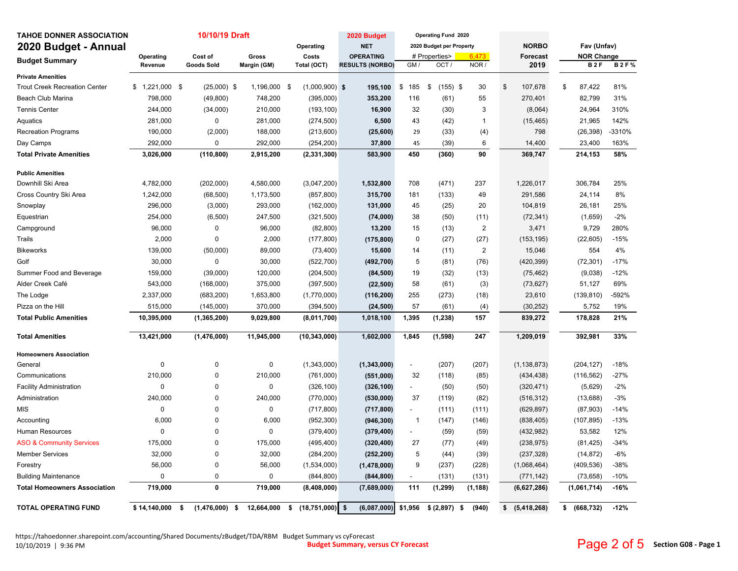| <b>TAHOE DONNER ASSOCIATION</b>      |              |              | 10/10/19 Draft     |                  |       |                   | 2020 Budget            |                          | <b>Operating Fund 2020</b> |                         |                     |                 |    |                   |             |
|--------------------------------------|--------------|--------------|--------------------|------------------|-------|-------------------|------------------------|--------------------------|----------------------------|-------------------------|---------------------|-----------------|----|-------------------|-------------|
| 2020 Budget - Annual                 |              |              |                    |                  |       | Operating         | <b>NET</b>             |                          | 2020 Budget per Property   |                         | <b>NORBO</b>        |                 |    | Fav (Unfav)       |             |
| <b>Budget Summary</b>                | Operating    |              | Cost of            | Gross            | Costs |                   | <b>OPERATING</b>       |                          | # Properties>              | 6,473                   |                     | <b>Forecast</b> |    | <b>NOR Change</b> |             |
|                                      | Revenue      |              | <b>Goods Sold</b>  | Margin (GM)      |       | Total (OCT)       | <b>RESULTS (NORBO)</b> | GM /                     | OCT/                       | NOR /                   |                     | 2019            |    | <b>B2F</b>        | <b>B2F%</b> |
| <b>Private Amenities</b>             |              |              |                    |                  |       |                   |                        |                          |                            |                         |                     |                 |    |                   |             |
| <b>Trout Creek Recreation Center</b> | \$           | 1,221,000 \$ | $(25,000)$ \$      | 1,196,000 \$     |       | $(1,000,900)$ \$  | 195,100                | \$<br>185                | \$<br>$(155)$ \$           | 30                      | \$<br>107,678       |                 | \$ | 87,422            | 81%         |
| Beach Club Marina                    | 798,000      |              | (49, 800)          | 748,200          |       | (395,000)         | 353,200                | 116                      | (61)                       | 55                      | 270,401             |                 |    | 82,799            | 31%         |
| Tennis Center                        | 244,000      |              | (34,000)           | 210,000          |       | (193, 100)        | 16,900                 | 32                       | (30)                       | $\mathbf{3}$            |                     | (8,064)         |    | 24,964            | 310%        |
| Aquatics                             | 281,000      |              | 0                  | 281,000          |       | (274, 500)        | 6,500                  | 43                       | (42)                       | $\mathbf{1}$            | (15, 465)           |                 |    | 21,965            | 142%        |
| <b>Recreation Programs</b>           | 190,000      |              | (2,000)            | 188,000          |       | (213,600)         | (25, 600)              | 29                       | (33)                       | (4)                     |                     | 798             |    | (26, 398)         | -3310%      |
| Day Camps                            | 292,000      |              | 0                  | 292,000          |       | (254, 200)        | 37,800                 | 45                       | (39)                       | 6                       | 14,400              |                 |    | 23,400            | 163%        |
| <b>Total Private Amenities</b>       | 3,026,000    |              | (110, 800)         | 2,915,200        |       | (2, 331, 300)     | 583,900                | 450                      | (360)                      | 90                      | 369,747             |                 |    | 214,153           | 58%         |
| <b>Public Amenities</b>              |              |              |                    |                  |       |                   |                        |                          |                            |                         |                     |                 |    |                   |             |
| Downhill Ski Area                    | 4,782,000    |              | (202,000)          | 4,580,000        |       | (3,047,200)       | 1,532,800              | 708                      | (471)                      | 237                     | 1,226,017           |                 |    | 306,784           | 25%         |
| Cross Country Ski Area               | 1,242,000    |              | (68, 500)          | 1,173,500        |       | (857, 800)        | 315,700                | 181                      | (133)                      | 49                      | 291,586             |                 |    | 24,114            | 8%          |
| Snowplay                             | 296,000      |              | (3,000)            | 293,000          |       | (162,000)         | 131,000                | 45                       | (25)                       | 20                      | 104,819             |                 |    | 26,181            | 25%         |
| Equestrian                           | 254,000      |              | (6,500)            | 247,500          |       | (321, 500)        | (74,000)               | 38                       | (50)                       | (11)                    | (72, 341)           |                 |    | (1,659)           | $-2%$       |
| Campground                           |              | 96,000       | 0                  | 96,000           |       | (82, 800)         | 13,200                 | 15                       | (13)                       | $\overline{\mathbf{c}}$ |                     | 3,471           |    | 9,729             | 280%        |
| Trails                               |              | 2,000        | 0                  | 2,000            |       | (177, 800)        | (175, 800)             | $\mathbf 0$              | (27)                       | (27)                    | (153, 195)          |                 |    | (22, 605)         | $-15%$      |
| <b>Bikeworks</b>                     | 139,000      |              | (50,000)           | 89,000           |       | (73, 400)         | 15,600                 | 14                       | (11)                       | $\overline{2}$          |                     | 15,046          |    | 554               | 4%          |
| Golf                                 |              | 30,000       | 0                  | 30,000           |       | (522, 700)        | (492, 700)             | $\sqrt{5}$               | (81)                       | (76)                    | (420, 399)          |                 |    | (72, 301)         | $-17%$      |
| Summer Food and Beverage             |              | 159,000      | (39,000)           | 120,000          |       | (204, 500)        | (84, 500)              | 19                       | (32)                       | (13)                    | (75, 462)           |                 |    | (9,038)           | $-12%$      |
| Alder Creek Café                     | 543,000      |              | (168,000)          | 375,000          |       | (397, 500)        | (22, 500)              | 58                       | (61)                       | (3)                     | (73, 627)           |                 |    | 51,127            | 69%         |
| The Lodge                            | 2,337,000    |              | (683, 200)         | 1,653,800        |       | (1,770,000)       | (116, 200)             | 255                      | (273)                      | (18)                    | 23,610              |                 |    | (139, 810)        | -592%       |
| Pizza on the Hill                    | 515,000      |              | (145,000)          | 370,000          |       | (394, 500)        | (24, 500)              | 57                       | (61)                       | (4)                     | (30, 252)           |                 |    | 5,752             | 19%         |
| <b>Total Public Amenities</b>        | 10,395,000   |              | (1, 365, 200)      | 9,029,800        |       | (8,011,700)       | 1,018,100              | 1,395                    | (1, 238)                   | 157                     | 839,272             |                 |    | 178,828           | 21%         |
| <b>Total Amenities</b>               | 13,421,000   |              | (1,476,000)        | 11,945,000       |       | (10, 343, 000)    | 1,602,000              | 1,845                    | (1,598)                    | 247                     | 1,209,019           |                 |    | 392,981           | 33%         |
| <b>Homeowners Association</b>        |              |              |                    |                  |       |                   |                        |                          |                            |                         |                     |                 |    |                   |             |
| General                              |              | 0            | 0                  | $\pmb{0}$        |       | (1,343,000)       | (1, 343, 000)          | $\overline{\phantom{a}}$ | (207)                      | (207)                   | (1, 138, 873)       |                 |    | (204, 127)        | $-18%$      |
| Communications                       | 210,000      |              | 0                  | 210,000          |       | (761,000)         | (551,000)              | 32                       | (118)                      | (85)                    | (434, 438)          |                 |    | (116, 562)        | $-27%$      |
| <b>Facility Administration</b>       |              | $\mathbf 0$  | 0                  | 0                |       | (326, 100)        | (326, 100)             | $\blacksquare$           | (50)                       | (50)                    | (320, 471)          |                 |    | (5,629)           | $-2%$       |
| Administration                       | 240,000      |              | 0                  | 240,000          |       | (770,000)         | (530,000)              | 37                       | (119)                      | (82)                    | (516, 312)          |                 |    | (13, 688)         | $-3%$       |
| MIS                                  |              | $\mathbf 0$  | 0                  | 0                |       | (717, 800)        | (717, 800)             | $\overline{\phantom{a}}$ | (111)                      | (111)                   | (629, 897)          |                 |    | (87,903)          | $-14%$      |
| Accounting                           |              | 6,000        | 0                  | 6,000            |       | (952, 300)        | (946, 300)             | $\mathbf{1}$             | (147)                      | (146)                   | (838, 405)          |                 |    | (107, 895)        | $-13%$      |
| Human Resources                      |              | 0            | 0                  | $\Omega$         |       | (379, 400)        | (379, 400)             |                          | (59)                       | (59)                    | (432, 982)          |                 |    | 53,582            | 12%         |
| <b>ASO &amp; Community Services</b>  |              | 175,000      | 0                  | 175,000          |       | (495, 400)        | (320, 400)             | 27                       | (77)                       | (49)                    | (238, 975)          |                 |    | (81, 425)         | $-34%$      |
| <b>Member Services</b>               |              | 32,000       | 0                  | 32,000           |       | (284, 200)        | (252, 200)             | 5                        | (44)                       | (39)                    | (237, 328)          |                 |    | (14, 872)         | $-6%$       |
| Forestry                             |              | 56,000       | 0                  | 56,000           |       | (1,534,000)       | (1,478,000)            | 9                        | (237)                      | (228)                   | (1,068,464)         |                 |    | (409, 536)        | $-38%$      |
| <b>Building Maintenance</b>          |              | 0            | 0                  | $\pmb{0}$        |       | (844, 800)        | (844, 800)             |                          | (131)                      | (131)                   | (771, 142)          |                 |    | (73, 658)         | $-10%$      |
| <b>Total Homeowners Association</b>  | 719,000      |              | 0                  | 719,000          |       | (8,408,000)       | (7,689,000)            | 111                      | (1, 299)                   | (1, 188)                | (6,627,286)         |                 |    | (1,061,714)       | $-16%$      |
| <b>TOTAL OPERATING FUND</b>          | \$14,140,000 |              | (1,476,000)<br>-\$ | 12,664,000<br>\$ | \$    | $(18,751,000)$ \$ | (6,087,000)            | \$1,956                  | \$ (2,897)                 | \$<br>(940)             | (5, 418, 268)<br>\$ |                 | \$ | (668, 732)        | $-12%$      |

https://tahoedonner.sharepoint.com/accounting/Shared Documents/zBudget/TDA/RBM Budget Summary vs cyForecast 10/10/2019 | 9:36 PM 10/10/2019 | 9:36 PM **Budget Summary, versus CY Forecast**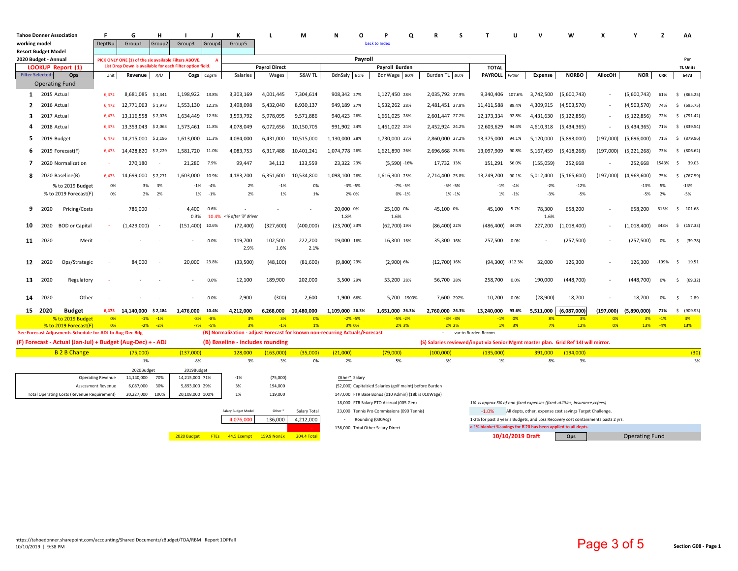| <b>Tahoe Donner Association</b> |             |                                                                                  | F                                                         | G                        | н                  |                                                                         |             | К                                |                      | м                  | N<br>O                                                                                                                | p<br>$\Omega$                                            | s                                                                                  |                                                                                  | u                | N              | W                                                       | x              |                       | $\overline{\phantom{a}}$ | AA              |            |  |
|---------------------------------|-------------|----------------------------------------------------------------------------------|-----------------------------------------------------------|--------------------------|--------------------|-------------------------------------------------------------------------|-------------|----------------------------------|----------------------|--------------------|-----------------------------------------------------------------------------------------------------------------------|----------------------------------------------------------|------------------------------------------------------------------------------------|----------------------------------------------------------------------------------|------------------|----------------|---------------------------------------------------------|----------------|-----------------------|--------------------------|-----------------|------------|--|
| working model                   |             |                                                                                  | DeptNu                                                    | Group1                   | Group <sub>2</sub> | Group3                                                                  | Group4      | Group5                           |                      |                    |                                                                                                                       | back to Index                                            |                                                                                    |                                                                                  |                  |                |                                                         |                |                       |                          |                 |            |  |
| <b>Resort Budget Model</b>      |             |                                                                                  |                                                           |                          |                    |                                                                         |             |                                  |                      |                    |                                                                                                                       |                                                          |                                                                                    |                                                                                  |                  |                |                                                         |                |                       |                          |                 |            |  |
| 2020 Budget - Annual            |             |                                                                                  |                                                           |                          |                    | PICK ONLY ONE (1) of the six available Filters ABOVE.<br>$\overline{A}$ |             |                                  |                      |                    | Pavroll                                                                                                               |                                                          |                                                                                    |                                                                                  |                  |                |                                                         |                | Per                   |                          |                 |            |  |
|                                 |             | LOOKUP Report (1)                                                                | List Drop Down is available for each Filter option field. |                          |                    |                                                                         |             |                                  | <b>Payrol Direct</b> |                    |                                                                                                                       | Payroll Burden                                           |                                                                                    | <b>TOTAL</b>                                                                     |                  |                |                                                         |                |                       |                          | <b>TL Units</b> |            |  |
| <b>Filter Selected</b>          |             | Ops                                                                              | Unit                                                      | Revenue                  | R/U                |                                                                         | Cogs Cogs%  | Salaries                         | Wages                | S&W TL             | BdnSaly BU%                                                                                                           | BdnWage BU%                                              | Burden TL BU%                                                                      | PAYROLL PR%R                                                                     |                  | <b>Expense</b> | <b>NORBO</b>                                            | <b>AllocOH</b> | <b>NOR</b>            | <b>CRR</b>               | 6473            |            |  |
|                                 |             | <b>Operating Fund</b>                                                            |                                                           |                          |                    |                                                                         |             |                                  |                      |                    |                                                                                                                       |                                                          |                                                                                    |                                                                                  |                  |                |                                                         |                |                       |                          |                 |            |  |
| 1                               | 2015 Actual |                                                                                  | 6,472                                                     | 8,681,085 \$1,341        |                    | 1,198,922                                                               | 13.8%       | 3,303,169                        | 4,001,445            | 7,304,614          | 908,342 27%                                                                                                           | 1,127,450 28%                                            | 2,035,792 27.9%                                                                    | 9,340,406 107.6%                                                                 |                  | 3,742,500      | (5,600,743)                                             |                | (5,600,743)           | 61%                      | \$ (865.25)     |            |  |
| $\mathbf{c}$                    | 2016 Actual |                                                                                  | 6,472                                                     | 12,771,063 \$1,973       |                    | 1,553,130                                                               | 12.2%       | 3,498,098                        | 5,432,040            | 8,930,137          | 949,189 27%                                                                                                           | 1,532,262 28%                                            | 2,481,451 27.8%                                                                    | 11,411,588 89.4%                                                                 |                  | 4,309,915      | (4,503,570)                                             |                | (4,503,570)           | 74%                      | $\mathsf{S}$    | (695.75)   |  |
| з                               | 2017 Actual |                                                                                  | 6,473                                                     | 13,116,558 \$2,026       |                    | 1,634,449                                                               | 12.5%       | 3,593,792                        | 5,978,095            | 9,571,886          | 940,423 26%                                                                                                           | 1,661,025 28%                                            | 2,601,447 27.2%                                                                    | 12,173,334 92.8%                                                                 |                  | 4,431,630      | (5, 122, 856)                                           | $\sim$         | (5, 122, 856)         | 72%                      | \$ (791.42)     |            |  |
| Δ                               |             | 2018 Actual                                                                      | 6,473                                                     | 13,353,043 \$2,063       |                    | 1,573,461 11.8%                                                         |             | 4,078,049                        | 6,072,656            | 10,150,705         | 991,902 24%                                                                                                           | 1,461,022 24%                                            | 2,452,924 24.2%                                                                    | 12,603,629 94.4%                                                                 |                  | 4,610,318      | (5,434,365)                                             |                | (5,434,365)           | 71%                      | \$ (839.54)     |            |  |
|                                 |             |                                                                                  |                                                           |                          |                    |                                                                         |             |                                  |                      |                    |                                                                                                                       |                                                          |                                                                                    |                                                                                  |                  |                |                                                         |                |                       |                          |                 |            |  |
| 5                               |             | 2019 Budget                                                                      | 6,473                                                     | 14,215,000               | \$2,196            | 1,613,000                                                               | 11.3%       | 4,084,000                        | 6,431,000            | 10,515,000         | 1,130,000 28%                                                                                                         | 1,730,000 27%                                            | 2,860,000 27.2%                                                                    | 13,375,000 94.1%                                                                 |                  | 5,120,000      | (5,893,000)                                             | (197,000)      | (5,696,000)           | 71%                      | \$ (879.96)     |            |  |
| 6                               |             | 2019 Forecast(F)                                                                 | 6,473                                                     | 14,428,820               | \$2,229            | 1,581,720                                                               | 11.0%       | 4,083,753                        | 6,317,488            | 10,401,241         | 1,074,778 26%                                                                                                         | 1,621,890 26%                                            | 2,696,668 25.9%                                                                    | 13,097,909                                                                       | 90.8%            | 5,167,459      | (5,418,268)                                             | (197,000)      | (5,221,268)           | 73%                      | S.              | (806.62)   |  |
| 7                               |             | 2020 Normalization                                                               | $\sim$                                                    | 270,180                  | $\sim$             | 21,280                                                                  | 7.9%        | 99,447                           | 34,112               | 133,559            | 23,322 23%                                                                                                            | $(5,590) - 16%$                                          | 17,732 13%                                                                         | 151,291 56.0%                                                                    |                  | (155,059)      | 252,668                                                 |                | 252,668               | 1543%                    | $\mathsf{S}$    | 39.03      |  |
| 8                               |             | 2020 Baseline(B)                                                                 | 6,473                                                     | 14,699,000               | \$2,271            | 1,603,000                                                               | 10.9%       | 4,183,200                        | 6,351,600            | 10,534,800         | 1,098,100 26%                                                                                                         | 1,616,300 25%                                            | 2,714,400 25.8%                                                                    | 13,249,200                                                                       | 90.1%            | 5,012,400      | (5, 165, 600)                                           | (197,000)      | (4,968,600)           | 75%                      | \$ (767.59)     |            |  |
|                                 |             | % to 2019 Budget                                                                 | 0%                                                        | 3%                       | 3%                 | $-1%$                                                                   | $-4%$       | 2%                               | $-1%$                | 0%                 | $-3% -5%$                                                                                                             | $-7\% -5\%$                                              | $-5% -5%$                                                                          |                                                                                  | $-1\% -4\%$      | $-2%$          | $-12%$                                                  |                | $-13%$                | 5%                       | $-13%$          |            |  |
|                                 |             | % to 2019 Forecast(F)                                                            | 0%                                                        | 2%                       | 2%                 | 1%                                                                      | $-1%$       | 2%                               | 1%                   | 1%                 | 2% 0%                                                                                                                 | 0% -1%                                                   | 1% - 1%                                                                            | 1%                                                                               | $-1%$            | $-3%$          | $-5%$                                                   |                | $-5%$                 | 2%                       | $-5%$           |            |  |
| 9                               | 2020        | Pricing/Costs                                                                    |                                                           | 786,000                  | $\sim$             | 4.400                                                                   | 0.6%        |                                  |                      |                    | 20,000 0%                                                                                                             | 25,100 0%                                                | 45,100 0%                                                                          | 45,100 5.7%                                                                      |                  | 78,300         | 658,200                                                 |                | 658,200               | 615%                     | \$101.68        |            |  |
|                                 |             |                                                                                  |                                                           |                          |                    | 0.3%                                                                    |             | 10.4% <% after '8' driver        |                      |                    | 1.8%                                                                                                                  | 1.6%                                                     |                                                                                    |                                                                                  |                  | 1.6%           |                                                         |                | (1,018,400)           | 348%                     |                 |            |  |
| 10                              | 2020        | <b>BOD</b> or Capital                                                            |                                                           | (1,429,000)              |                    | (151, 400)                                                              | 10.6%       | (72, 400)                        | (327, 600)           | (400,000)          | (23,700) 33%                                                                                                          | (62,700) 19%                                             | $(86,400)$ 22%                                                                     | (486,400) 34.0%                                                                  |                  | 227,200        | (1,018,400)                                             |                |                       |                          | \$(157.33)      |            |  |
| 11                              | 2020        | Merit                                                                            |                                                           |                          |                    |                                                                         | 0.0%        | 119,700<br>2.9%                  | 102,500<br>1.6%      | 222,200<br>2.1%    | 19,000 16%                                                                                                            | 16,300 16%                                               | 35,300 16%                                                                         | 257,500 0.0%                                                                     |                  |                | (257, 500)                                              |                | (257, 500)            | 0%                       | $\mathsf{S}$    | (39.78)    |  |
| 12                              | 2020        | Ops/Strategic                                                                    |                                                           | 84,000                   |                    | 20,000                                                                  | 23.8%       | (33, 500)                        | (48, 100)            | (81,600)           | $(9,800)$ 29%                                                                                                         | $(2,900)$ 6%                                             | $(12,700)$ 16%                                                                     | (94,300) -112.3%                                                                 |                  | 32,000         | 126,300                                                 |                | 126,300               | $-199%$                  | $\mathsf{S}$    | 19.51      |  |
| 13                              | 2020        | Regulatory                                                                       |                                                           |                          |                    |                                                                         | 0.0%        | 12,100                           | 189,900              | 202,000            | 3,500 29%                                                                                                             | 53,200 28%                                               | 56,700 28%                                                                         | 258,700                                                                          | 0.0%             | 190,000        | (448, 700)                                              |                | (448, 700)            | 0%                       | Ŝ.              | (69.32)    |  |
| 14                              | 2020        | Other                                                                            |                                                           |                          |                    |                                                                         | 0.0%        | 2,900                            | (300)                | 2,600              | 1,900 66%                                                                                                             | 5,700 -1900%                                             | 7,600 292%                                                                         | 10,200 0.0%                                                                      |                  | (28,900)       | 18,700                                                  |                | 18,700                | 0%                       | ŝ               | 2.89       |  |
| 15                              | 2020        | <b>Budget</b>                                                                    |                                                           | 6,473 14,140,000 \$2,184 |                    | 1,476,000                                                               | 10.4%       | 4,212,000                        | 6,268,000            | 10,480,000         | 1,109,000 26.3%                                                                                                       | 1,651,000 26.3%                                          | 2,760,000 26.3%                                                                    | 13,240,000 93.6%                                                                 |                  | 5,511,000      | (6,087,000)                                             | (197,000)      | (5,890,000)           | 71%                      | $\mathsf{S}$    | (909.93)   |  |
|                                 |             | % to 2019 Budget                                                                 | $-0%$                                                     |                          | $-1\% -1\%$        | $-8%$                                                                   | $-8%$       | 3%                               | 3%                   | 0%                 | $-2\% -5\%$                                                                                                           | $-5% -2%$                                                | $-3% -3%$                                                                          | $-1%$                                                                            | 0%               | 8%             | 3%                                                      | 0%             | 3%                    | $-1%$                    | 3%              |            |  |
|                                 |             | % to 2019 Forecast(F)<br>See Forecast Adjusments Schedule for ADJ to Aug-Dec Bdg | 0%                                                        |                          | $-2\% -2\%$        | $-7%$                                                                   | $-5%$       | 3%                               | $-1%$                | 1%                 | 3% 0%<br>(N) Normalization - adjust Forecast for known non-recurring Actuals/Forecast                                 | 2% 3%                                                    | 2% 2%                                                                              | var to Burden Recom                                                              | 1% 3%            | 7%             | 12%                                                     | 0%             | 13%                   | $-4%$                    | 13%             |            |  |
|                                 |             | (F) Forecast - Actual (Jan-Jul) + Budget (Aug-Dec) + - ADJ                       |                                                           |                          |                    |                                                                         |             |                                  |                      |                    |                                                                                                                       |                                                          | (S) Salaries reviewed/input via Senior Mgmt master plan. Grid Ref 14I will mirror. |                                                                                  |                  |                |                                                         |                |                       |                          |                 |            |  |
|                                 |             |                                                                                  |                                                           |                          |                    |                                                                         |             | (B) Baseline - includes rounding |                      |                    |                                                                                                                       |                                                          |                                                                                    |                                                                                  |                  |                |                                                         |                |                       |                          |                 |            |  |
|                                 |             | <b>B 2 B Change</b>                                                              |                                                           | (75,000)<br>$-1%$        |                    | (137,000)<br>$-8%$                                                      |             | 128,000<br>3%                    | (163,000)<br>$-3%$   | (35,000)<br>0%     | (21,000)<br>$-2%$                                                                                                     | (79,000)<br>$-5%$                                        | (100,000)<br>$-3%$                                                                 | (135,000)<br>$-1%$                                                               |                  | 391,000<br>8%  | (194,000)<br>3%                                         |                |                       |                          |                 | (30)<br>3% |  |
|                                 |             |                                                                                  |                                                           |                          |                    |                                                                         |             |                                  |                      |                    |                                                                                                                       |                                                          |                                                                                    |                                                                                  |                  |                |                                                         |                |                       |                          |                 |            |  |
|                                 |             |                                                                                  | <b>Operating Revenue</b>                                  | 2020Budget<br>14,140,000 | 70%                | 2019Budget<br>14,215,000 71%                                            |             | $-1%$                            | (75,000)             |                    | Other* Salary                                                                                                         |                                                          |                                                                                    |                                                                                  |                  |                |                                                         |                |                       |                          |                 |            |  |
|                                 |             |                                                                                  | Assessment Revenue                                        | 6,087,000                | 30%                | 5,893,000 29%                                                           |             | 3%                               | 194,000              |                    |                                                                                                                       | (52,000) Capitalzied Salaries (golf maint) before Burden |                                                                                    |                                                                                  |                  |                |                                                         |                |                       |                          |                 |            |  |
|                                 |             | <b>Total Operating Costs (Revenue Requirement)</b>                               |                                                           | 20,227,000               | 100%               | 20,108,000 100%                                                         |             | 1%                               | 119,000              |                    |                                                                                                                       | 147,000 FTR Base Bonus (010 Admin) (18k is 010Wage)      |                                                                                    |                                                                                  |                  |                |                                                         |                |                       |                          |                 |            |  |
|                                 |             |                                                                                  |                                                           |                          |                    |                                                                         |             |                                  |                      |                    | 18,000 FTR Salary PTO Accrual (005 Gen)<br>1% is approx 5% of non-fixed expenses (fixed-utilities, insurance, ccfees) |                                                          |                                                                                    |                                                                                  |                  |                |                                                         |                |                       |                          |                 |            |  |
|                                 |             |                                                                                  |                                                           |                          |                    |                                                                         |             | Salary Budget Mode               | Other <sup>*</sup>   | Salary Total       |                                                                                                                       | 23,000 Tennis Pro Commissions (090 Tennis)               |                                                                                    | $-1.0%$                                                                          |                  |                | All depts, other, expense cost savings Target Challenge |                |                       |                          |                 |            |  |
|                                 |             |                                                                                  |                                                           |                          |                    |                                                                         |             | 4,076,000                        | 136,000              | 4,212,000          |                                                                                                                       | Rounding (030Acg)                                        |                                                                                    | 1-2% for past 3 year's Budgets, and Loss Recovery cost containments pasts 2 yrs. |                  |                |                                                         |                |                       |                          |                 |            |  |
|                                 |             |                                                                                  |                                                           |                          |                    |                                                                         |             |                                  |                      |                    | 136,000 Total Other Salary Direct                                                                                     |                                                          |                                                                                    | a 1% blanket %savings for B'20 has been applied to all depts.                    |                  |                |                                                         |                |                       |                          |                 |            |  |
|                                 |             |                                                                                  |                                                           |                          |                    | 2020 Budget                                                             | <b>FTES</b> | 44.5 Exempt                      | <b>159.9 NonEx</b>   | <b>204.4 Total</b> |                                                                                                                       |                                                          |                                                                                    |                                                                                  | 10/10/2019 Draft |                | Ops                                                     |                | <b>Operating Fund</b> |                          |                 |            |  |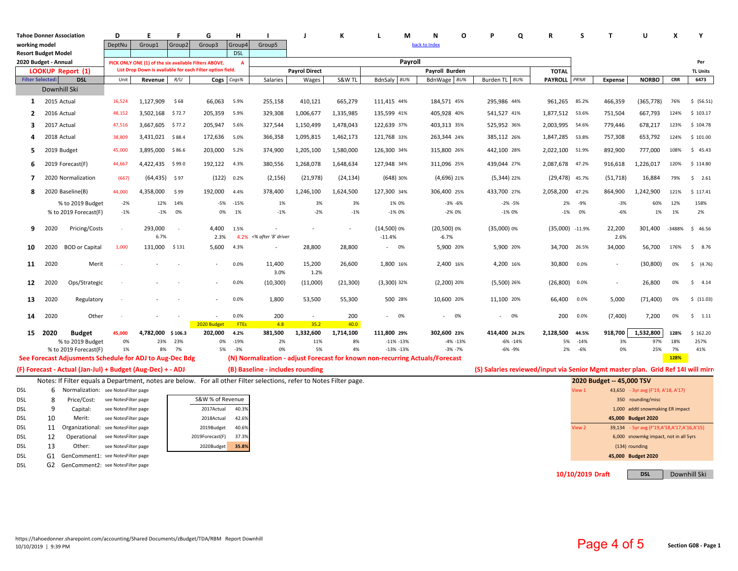|                            |                         | <b>Tahoe Donner Association</b>                                                                                     | D                    | F                                                     | F                        | G                                                         | н              |                                  |                      | K               | м                                                                            | N                  | C                           |                               | Q<br>$\mathbf R$                                                                 | S                                     | $\mathbf{T}$              | U                                           | X           | Y                |  |
|----------------------------|-------------------------|---------------------------------------------------------------------------------------------------------------------|----------------------|-------------------------------------------------------|--------------------------|-----------------------------------------------------------|----------------|----------------------------------|----------------------|-----------------|------------------------------------------------------------------------------|--------------------|-----------------------------|-------------------------------|----------------------------------------------------------------------------------|---------------------------------------|---------------------------|---------------------------------------------|-------------|------------------|--|
| working model              |                         |                                                                                                                     | DeptNu               | Group1                                                | Group2                   | Group3                                                    | Group4         | Group5                           |                      |                 |                                                                              | back to Index      |                             |                               |                                                                                  |                                       |                           |                                             |             |                  |  |
| <b>Resort Budget Model</b> |                         |                                                                                                                     |                      |                                                       |                          |                                                           | <b>DSL</b>     |                                  |                      |                 |                                                                              |                    |                             |                               |                                                                                  |                                       |                           |                                             |             |                  |  |
| 2020 Budget - Annual       |                         |                                                                                                                     |                      | PICK ONLY ONE (1) of the six available Filters ABOVE. |                          | List Drop Down is available for each Filter option field. | A              | Payroll                          |                      |                 |                                                                              |                    |                             |                               |                                                                                  |                                       |                           |                                             |             | Per              |  |
|                            |                         | LOOKUP Report (1)                                                                                                   |                      |                                                       |                          |                                                           |                |                                  | <b>Payrol Direct</b> |                 |                                                                              |                    | Payroll Burden              |                               | <b>TOTAL</b>                                                                     |                                       |                           |                                             |             | <b>TL Units</b>  |  |
|                            | <b>Filter Selected:</b> | <b>DSL</b>                                                                                                          | Unit                 | Revenue                                               | R/U                      | Cogs                                                      | Cogs%          | Salaries                         | Wages                | S&W TL          | BdnSaly BU%                                                                  |                    | BdnWage BU%                 | Burden TL BU%                 | PAYROLL PR%R                                                                     |                                       | <b>Expense</b>            | <b>NORBO</b>                                | <b>CRR</b>  | 6473             |  |
|                            |                         | Downhill Ski                                                                                                        |                      |                                                       |                          |                                                           |                |                                  |                      |                 |                                                                              |                    |                             |                               |                                                                                  |                                       |                           |                                             |             |                  |  |
| $\mathbf{1}$               | 2015 Actual             |                                                                                                                     | 16,524               | 1,127,909                                             | \$68                     | 66,063                                                    | 5.9%           | 255,158                          | 410,121              | 665,279         | 111,415 44%                                                                  |                    | 184,571 45%                 | 295,986 44%                   | 961,265                                                                          | 85.2%                                 | 466,359                   | (365, 778)                                  | 76%         | \$ (56.51)       |  |
| $\mathbf{2}$               |                         | 2016 Actual                                                                                                         | 48,152               | 3,502,168                                             | \$72.7                   | 205,359                                                   | 5.9%           | 329,308                          | 1,006,677            | 1,335,985       | 135,599 41%                                                                  |                    | 405,928 40%                 | 541,527 41%                   | 1,877,512 53.6%                                                                  |                                       | 751,504                   | 667,793                                     | 124%        | \$103.17         |  |
| 3                          |                         | 2017 Actual                                                                                                         | 47,516               | 3,667,605                                             | \$77.2                   | 205,947                                                   | 5.6%           | 327,544                          | 1,150,499            | 1,478,043       | 122,639 37%                                                                  |                    | 403,313 35%                 | 525,952 36%                   | 2,003,995                                                                        | 54.6%                                 | 779,446                   | 678,217                                     | 123%        | \$104.78         |  |
| 4                          |                         | 2018 Actual                                                                                                         | 38,809               | 3,431,021 \$88.4                                      |                          | 172,636                                                   | 5.0%           | 366,358                          | 1,095,815            | 1,462,173       | 121,768 33%                                                                  |                    | 263,344 24%                 | 385,112 26%                   | 1,847,285                                                                        | 53.8%                                 | 757,308                   | 653,792                                     | 124%        | \$101.00         |  |
| 5                          |                         | 2019 Budget                                                                                                         | 45,000               | 3,895,000                                             | \$86.6                   | 203,000                                                   | 5.2%           | 374,900                          | 1,205,100            | 1,580,000       | 126,300 34%                                                                  |                    | 315,800 26%                 | 442,100 28%                   | 2,022,100                                                                        | 51.9%                                 | 892,900                   | 777,000                                     | 108%        | \$45.43          |  |
| 6                          |                         | 2019 Forecast(F)                                                                                                    | 44,667               | 4,422,435                                             | \$99.0                   | 192,122                                                   | 4.3%           | 380,556                          | 1,268,078            | 1,648,634       | 127,948 34%                                                                  |                    | 311,096 25%                 | 439,044 27%                   | 2,087,678                                                                        | 47.2%                                 | 916,618                   | 1,226,017                                   | 120%        | \$114.80         |  |
| 7                          |                         | 2020 Normalization                                                                                                  | (667)                | (64, 435)                                             | \$ 97                    | (122)                                                     | 0.2%           | (2, 156)                         | (21, 978)            | (24, 134)       | $(648)$ 30%                                                                  |                    | $(4,696)$ 21%               | $(5,344)$ 22%                 | (29,478) 45.7%                                                                   |                                       | (51, 718)                 | 16,884                                      | 79%         | 2.61<br>S.       |  |
| 8                          |                         | 2020 Baseline(B)                                                                                                    | 44,000               | 4,358,000                                             | \$99                     | 192,000                                                   | 4.4%           | 378,400                          | 1,246,100            | 1,624,500       | 127,300 34%                                                                  |                    | 306,400 25%                 | 433,700 27%                   | 2,058,200                                                                        | 47.2%                                 | 864,900                   | 1,242,900                                   | 121%        | \$117.41         |  |
|                            |                         | % to 2019 Budget                                                                                                    | $-2%$                | 12%                                                   | 14%                      | $-5%$                                                     | $-15%$         | 1%                               | 3%                   | 3%              | 1% 0%                                                                        |                    | $-3% -6%$                   | $-2\% -5\%$                   | 2%                                                                               | $-9%$                                 | $-3%$                     | 60%                                         | 12%         | 158%             |  |
|                            |                         | % to 2019 Forecast(F)                                                                                               | $-1%$                | $-1%$                                                 | 0%                       | 0%                                                        | 1%             | $-1%$                            | $-2%$                | $-1%$           | $-1\%$ 0%                                                                    |                    | $-2\%$ 0%                   | $-1\%$ 0%                     | $-1%$                                                                            | 0%                                    | $-6%$                     | 1%                                          | 1%          | 2%               |  |
| 9                          | 2020                    | Pricing/Costs                                                                                                       | ×                    | 293,000                                               | $\overline{\phantom{a}}$ | 4,400                                                     | 1.5%           | ÷,                               |                      |                 | $(14,500)$ 0%                                                                |                    | (20,500) 0%                 | (35,000) 0%                   | $(35,000)$ -11.9%                                                                |                                       | 22,200                    | 301,400                                     | -3488%      | \$46.56          |  |
|                            |                         |                                                                                                                     |                      | 6.7%                                                  |                          | 2.3%                                                      |                | 4.2% <% after '8' driver         |                      |                 | $-11.4%$                                                                     |                    | $-6.7%$                     |                               |                                                                                  |                                       | 2.6%                      |                                             |             |                  |  |
| 10                         | 2020                    | <b>BOD</b> or Capital                                                                                               | 1,000                | 131,000                                               | \$131                    | 5,600                                                     | 4.3%           |                                  | 28,800               | 28,800          | 0%<br>$\sim$                                                                 |                    | 5,900 20%                   | 5,900 20%                     | 34,700                                                                           | 26.5%                                 | 34,000                    | 56,700                                      | 176%        | \$3.76           |  |
| 11                         | 2020                    | Merit                                                                                                               |                      |                                                       |                          |                                                           | 0.0%           | 11,400<br>3.0%                   | 15,200<br>1.2%       | 26,600          | 1,800 16%                                                                    |                    | 2,400 16%                   | 4,200 16%                     | 30,800                                                                           | 0.0%                                  | $\sim$                    | (30, 800)                                   | 0%          | (4.76)<br>\$     |  |
| 12                         | 2020                    | Ops/Strategic                                                                                                       |                      |                                                       |                          |                                                           | 0.0%           | (10, 300)                        | (11,000)             | (21, 300)       | $(3,300)$ 32%                                                                |                    | $(2,200)$ 20%               | $(5,500)$ 26%                 | (26, 800)                                                                        | 0.0%                                  | $\sim$                    | 26,800                                      | 0%          | S.<br>4.14       |  |
| 13                         | 2020                    | Regulatory                                                                                                          |                      |                                                       |                          |                                                           | 0.0%           | 1,800                            | 53,500               | 55,300          | 500 28%                                                                      |                    | 10,600 20%                  | 11,100 20%                    | 66,400                                                                           | 0.0%                                  | 5,000                     | (71, 400)                                   | 0%          | \$ (11.03)       |  |
| 14                         | 2020                    | Other                                                                                                               |                      |                                                       |                          |                                                           | 0.0%           | 200                              | $\sim$               | 200             | 0%<br>$\sim$                                                                 |                    | 0%                          | 0%                            | 200                                                                              | 0.0%                                  | (7,400)                   | 7,200                                       | 0%          | \$ 1.11          |  |
|                            |                         |                                                                                                                     |                      |                                                       |                          | 2020 Budget                                               | <b>FTEs</b>    | 4.8                              | 35.2                 | 40.0            |                                                                              |                    |                             |                               |                                                                                  |                                       |                           |                                             |             |                  |  |
| 15                         | 2020                    | <b>Budget</b>                                                                                                       | 45,000<br>0%         | 4,782,000 \$106.3<br>23%                              | 23%                      | 202,000                                                   | 4.2%<br>$-19%$ | 381,500<br>2%                    | 1,332,600<br>11%     | 1,714,100<br>8% | 111,800 29%<br>$-11\% -13\%$                                                 |                    | 302,600 23%<br>$-4\% -13\%$ | 414,400 24.2%<br>$-6\% -14\%$ | 2,128,500<br>5%                                                                  | 44.5%<br>$-14%$                       | 918,700                   | 1,532,800<br>97%                            | 128%<br>18% | \$162.20<br>257% |  |
|                            |                         | % to 2019 Budget<br>% to 2019 Forecast(F)                                                                           | 1%                   | 8%                                                    | 7%                       | 0%<br>5%                                                  | $-3%$          | 0%                               | 5%                   | 4%              | $-13\% -13\%$                                                                |                    | $-3% -7%$                   | $-6\% -9\%$                   | 2%                                                                               | $-6%$                                 | 3%<br>0%                  | 25%                                         | 7%          | 41%              |  |
|                            |                         | See Forecast Adjusments Schedule for ADJ to Aug-Dec Bdg                                                             |                      |                                                       |                          |                                                           |                |                                  |                      |                 | (N) Normalization - adjust Forecast for known non-recurring Actuals/Forecast |                    |                             |                               |                                                                                  |                                       |                           |                                             | 128%        |                  |  |
|                            |                         | (F) Forecast - Actual (Jan-Jul) + Budget (Aug-Dec) + - ADJ                                                          |                      |                                                       |                          |                                                           |                | (B) Baseline - includes rounding |                      |                 |                                                                              |                    |                             |                               | (S) Salaries reviewed/input via Senior Mgmt master plan. Grid Ref 14I will mirre |                                       |                           |                                             |             |                  |  |
|                            |                         | Notes: If Filter equals a Department, notes are below. For all other Filter selections, refer to Notes Filter page. |                      |                                                       |                          |                                                           |                |                                  |                      |                 |                                                                              |                    |                             |                               |                                                                                  |                                       | 2020 Budget -- 45,000 TSV |                                             |             |                  |  |
| <b>DSL</b>                 | 6                       | Normalization: see NotesFilter page                                                                                 |                      |                                                       |                          |                                                           |                |                                  |                      |                 |                                                                              |                    |                             |                               |                                                                                  | View 1                                |                           | 43,650 - 3yr avg (F'19, A'18, A'17)         |             |                  |  |
| <b>DSL</b>                 | 8                       | Price/Cost:                                                                                                         | see NotesFilter page |                                                       |                          | S&W % of Revenue                                          |                |                                  |                      |                 |                                                                              |                    |                             |                               |                                                                                  |                                       |                           | 350 rounding/misc                           |             |                  |  |
| <b>DSL</b>                 | 9                       | Capital:                                                                                                            | see NotesFilter page |                                                       |                          | 2017Actual                                                | 40.3%          |                                  |                      |                 |                                                                              |                    |                             |                               |                                                                                  |                                       |                           | 1,000 addtl snowmaking ER impact            |             |                  |  |
| <b>DSL</b>                 | 10                      | Merit:                                                                                                              | see NotesFilter page |                                                       |                          | 2018Actual                                                | 42.6%          |                                  |                      |                 |                                                                              | 45,000 Budget 2020 |                             |                               |                                                                                  |                                       |                           |                                             |             |                  |  |
| <b>DSL</b>                 | 11                      | Organizational: see NotesFilter page                                                                                |                      |                                                       |                          | 2019Budget                                                | 40.6%          |                                  |                      |                 |                                                                              |                    |                             |                               |                                                                                  | View 2                                |                           | 39,134 - 5yr avg (F'19,A'18,A'17,A'16,A'15) |             |                  |  |
| <b>DSL</b>                 | 12                      | Operational<br>see NotesFilter page<br>2019Forecast(F)                                                              |                      |                                                       |                          |                                                           | 37.3%          |                                  |                      |                 |                                                                              |                    |                             |                               |                                                                                  | 6,000 snowmkg impact, not in all 5yrs |                           |                                             |             |                  |  |
| <b>DSL</b>                 | 13                      | Other:                                                                                                              | see NotesFilter page |                                                       |                          | 2020Budget                                                | 35.8%          |                                  |                      |                 |                                                                              |                    |                             |                               |                                                                                  | (134) rounding                        |                           |                                             |             |                  |  |
| <b>DSL</b>                 | G1                      | GenComment1: see NotesFilter page                                                                                   |                      |                                                       |                          |                                                           |                |                                  |                      |                 |                                                                              |                    |                             |                               |                                                                                  |                                       |                           | 45,000 Budget 2020                          |             |                  |  |
| <b>DSL</b>                 | G2                      | GenComment2: see NotesFilter page                                                                                   |                      |                                                       |                          |                                                           |                |                                  |                      |                 |                                                                              |                    |                             |                               |                                                                                  |                                       |                           |                                             |             |                  |  |
|                            |                         |                                                                                                                     |                      |                                                       |                          |                                                           |                |                                  |                      |                 |                                                                              |                    |                             |                               |                                                                                  |                                       | 10/10/2019 Draft          | <b>DSL</b>                                  |             | Downhill Ski     |  |
|                            |                         |                                                                                                                     |                      |                                                       |                          |                                                           |                |                                  |                      |                 |                                                                              |                    |                             |                               |                                                                                  |                                       |                           |                                             |             |                  |  |